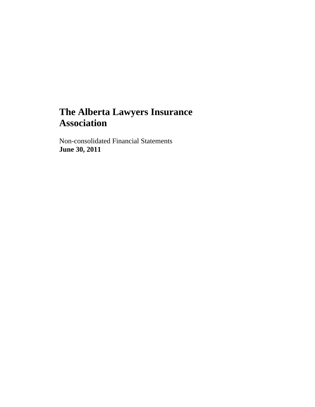Non-consolidated Financial Statements **June 30, 2011**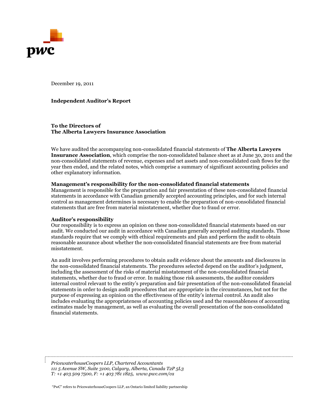

December 19, 2011

#### **Independent Auditor's Report**

**To the Directors of The Alberta Lawyers Insurance Association**

We have audited the accompanying non-consolidated financial statements of **The Alberta Lawyers Insurance Association**, which comprise the non-consolidated balance sheet as at June 30, 2011 and the non-consolidated statements of revenue, expenses and net assets and non-consolidated cash flows for the year then ended, and the related notes, which comprise a summary of significant accounting policies and other explanatory information.

#### **Management's responsibility for the non-consolidated financial statements**

Management is responsible for the preparation and fair presentation of these non-consolidated financial statements in accordance with Canadian generally accepted accounting principles, and for such internal control as management determines is necessary to enable the preparation of non-consolidated financial statements that are free from material misstatement, whether due to fraud or error.

#### **Auditor's responsibility**

Our responsibility is to express an opinion on these non-consolidated financial statements based on our audit. We conducted our audit in accordance with Canadian generally accepted auditing standards. Those standards require that we comply with ethical requirements and plan and perform the audit to obtain reasonable assurance about whether the non-consolidated financial statements are free from material misstatement.

An audit involves performing procedures to obtain audit evidence about the amounts and disclosures in the non-consolidated financial statements. The procedures selected depend on the auditor's judgment, including the assessment of the risks of material misstatement of the non-consolidated financial statements, whether due to fraud or error. In making those risk assessments, the auditor considers internal control relevant to the entity's preparation and fair presentation of the non-consolidated financial statements in order to design audit procedures that are appropriate in the circumstances, but not for the purpose of expressing an opinion on the effectiveness of the entity's internal control. An audit also includes evaluating the appropriateness of accounting policies used and the reasonableness of accounting estimates made by management, as well as evaluating the overall presentation of the non-consolidated financial statements.

*PricewaterhouseCoopers LLP, Chartered Accountants 111 5 Avenue SW, Suite 3100, Calgary, Alberta, Canada T2P 5L3 T: +1 403 509 7500, F: +1 403 781 1825, www.pwc.com/ca*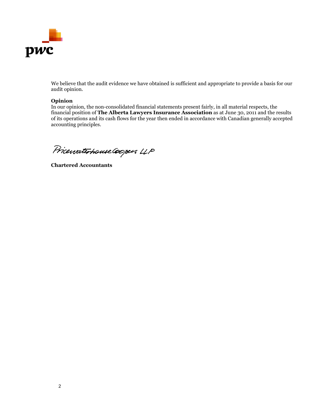

We believe that the audit evidence we have obtained is sufficient and appropriate to provide a basis for our audit opinion.

### **Opinion**

In our opinion, the non-consolidated financial statements present fairly, in all material respects, the financial position of **The Alberta Lawyers Insurance Association** as at June 30, 2011 and the results of its operations and its cash flows for the year then ended in accordance with Canadian generally accepted accounting principles.

Pricewaterhouse Coopers LLP

**Chartered Accountants**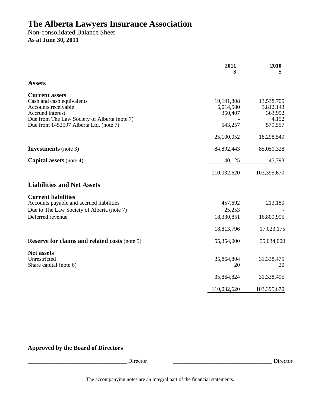Non-consolidated Balance Sheet **As at June 30, 2011** 

|                                                                                                                                               | 2011                               | 2010<br>\$                                  |
|-----------------------------------------------------------------------------------------------------------------------------------------------|------------------------------------|---------------------------------------------|
| <b>Assets</b>                                                                                                                                 |                                    |                                             |
| <b>Current assets</b><br>Cash and cash equivalents<br>Accounts receivable<br>Accrued interest<br>Due from The Law Society of Alberta (note 7) | 19,191,808<br>5,014,580<br>350,407 | 13,538,705<br>3,812,143<br>363,992<br>4,152 |
| Due from 1452597 Alberta Ltd. (note 7)                                                                                                        | 543,257                            | 579,557                                     |
|                                                                                                                                               | 25,100,052                         | 18,298,549                                  |
| <b>Investments</b> (note 3)                                                                                                                   | 84,892,443                         | 85,051,328                                  |
| <b>Capital assets</b> (note 4)                                                                                                                | 40,125                             | 45,793                                      |
|                                                                                                                                               | 110,032,620                        | 103,395,670                                 |
| <b>Liabilities and Net Assets</b>                                                                                                             |                                    |                                             |
| <b>Current liabilities</b><br>Accounts payable and accrued liabilities<br>Due to The Law Society of Alberta (note 7)<br>Deferred revenue      | 457,692<br>25,253<br>18,330,851    | 213,180<br>16,809,995                       |
|                                                                                                                                               | 18,813,796                         | 17,023,175                                  |
| <b>Reserve for claims and related costs (note 5)</b>                                                                                          | 55,354,000                         | 55,034,000                                  |
| <b>Net assets</b><br>Unrestricted<br>Share capital (note 6)                                                                                   | 35,864,804<br>20                   | 31,338,475<br>20                            |
|                                                                                                                                               | 35,864,824                         | 31,338,495                                  |
|                                                                                                                                               | 110,032,620                        | 103,395,670                                 |

# **Approved by the Board of Directors**

\_\_\_\_\_\_\_\_\_\_\_\_\_\_\_\_\_\_\_\_\_\_\_\_\_\_\_\_\_\_\_\_\_\_\_ Director \_\_\_\_\_\_\_\_\_\_\_\_\_\_\_\_\_\_\_\_\_\_\_\_\_\_\_\_\_\_\_\_\_\_\_ Director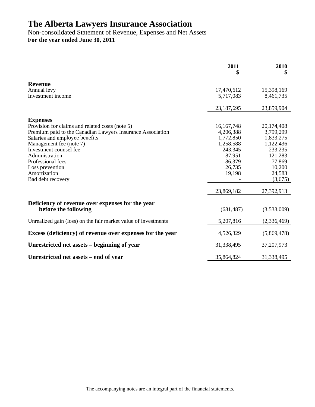Non-consolidated Statement of Revenue, Expenses and Net Assets **For the year ended June 30, 2011** 

|                                                                | 2011<br>\$       | 2010<br>\$       |
|----------------------------------------------------------------|------------------|------------------|
| <b>Revenue</b>                                                 |                  |                  |
| Annual levy                                                    | 17,470,612       | 15,398,169       |
| Investment income                                              | 5,717,083        | 8,461,735        |
|                                                                | 23,187,695       | 23,859,904       |
| <b>Expenses</b>                                                |                  |                  |
| Provision for claims and related costs (note 5)                | 16, 167, 748     | 20,174,408       |
| Premium paid to the Canadian Lawyers Insurance Association     | 4,206,388        | 3,799,299        |
| Salaries and employee benefits                                 | 1,772,850        | 1,833,275        |
| Management fee (note 7)                                        | 1,258,588        | 1,122,436        |
| Investment counsel fee                                         | 243,345          | 233,235          |
| Administration                                                 | 87,951           | 121,283          |
| Professional fees                                              | 86,379           | 77,869           |
| Loss prevention<br>Amortization                                | 26,735<br>19,198 | 10,200<br>24,583 |
| Bad debt recovery                                              |                  | (3,675)          |
|                                                                |                  |                  |
|                                                                | 23,869,182       | 27,392,913       |
| Deficiency of revenue over expenses for the year               |                  |                  |
| before the following                                           | (681, 487)       | (3,533,009)      |
| Unrealized gain (loss) on the fair market value of investments | 5,207,816        | (2,336,469)      |
| Excess (deficiency) of revenue over expenses for the year      | 4,526,329        | (5,869,478)      |
| Unrestricted net assets – beginning of year                    | 31,338,495       | 37, 207, 973     |
| Unrestricted net assets – end of year                          | 35,864,824       | 31,338,495       |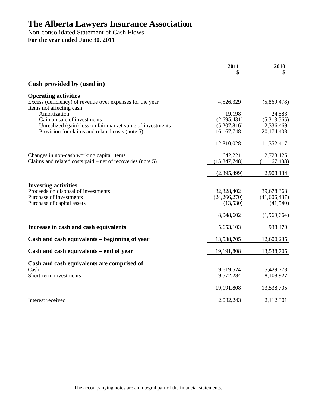Non-consolidated Statement of Cash Flows **For the year ended June 30, 2011** 

|                                                                                                                             | 2011<br>\$                               | 2010<br>\$                               |
|-----------------------------------------------------------------------------------------------------------------------------|------------------------------------------|------------------------------------------|
| Cash provided by (used in)                                                                                                  |                                          |                                          |
| <b>Operating activities</b><br>Excess (deficiency) of revenue over expenses for the year<br>Items not affecting cash        | 4,526,329                                | (5,869,478)                              |
| Amortization<br>Gain on sale of investments                                                                                 | 19,198<br>(2,695,431)                    | 24,583<br>(5,313,565)                    |
| Unrealized (gain) loss on fair market value of investments<br>Provision for claims and related costs (note 5)               | (5,207,816)<br>16,167,748                | 2,336,469<br>20,174,408                  |
|                                                                                                                             | 12,810,028                               | 11,352,417                               |
| Changes in non-cash working capital items<br>Claims and related costs paid – net of recoveries (note 5)                     | 642,221<br>(15, 847, 748)                | 2,723,125<br>(11, 167, 408)              |
|                                                                                                                             | (2,395,499)                              | 2,908,134                                |
| <b>Investing activities</b><br>Proceeds on disposal of investments<br>Purchase of investments<br>Purchase of capital assets | 32,328,402<br>(24, 266, 270)<br>(13,530) | 39,678,363<br>(41, 606, 487)<br>(41,540) |
|                                                                                                                             | 8,048,602                                | (1,969,664)                              |
| Increase in cash and cash equivalents                                                                                       | 5,653,103                                | 938,470                                  |
| Cash and cash equivalents – beginning of year                                                                               | 13,538,705                               | 12,600,235                               |
| Cash and cash equivalents – end of year                                                                                     | 19,191,808                               | 13,538,705                               |
| Cash and cash equivalents are comprised of<br>Cash<br>Short-term investments                                                | 9,619,524<br>9,572,284                   | 5,429,778<br>8,108,927                   |
|                                                                                                                             | 19,191,808                               | 13,538,705                               |
| Interest received                                                                                                           | 2,082,243                                | 2,112,301                                |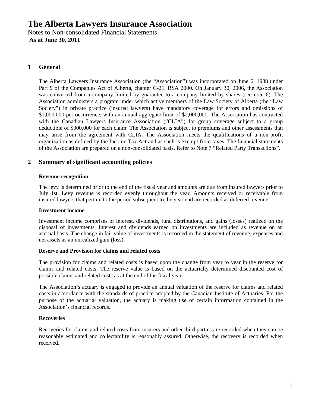# **1 General**

The Alberta Lawyers Insurance Association (the "Association") was incorporated on June 6, 1988 under Part 9 of the Companies Act of Alberta, chapter C-21, RSA 2000. On January 30, 2006, the Association was converted from a company limited by guarantee to a company limited by shares (see note 6). The Association administers a program under which active members of the Law Society of Alberta (the "Law Society") in private practice (insured lawyers) have mandatory coverage for errors and omissions of \$1,000,000 per occurrence, with an annual aggregate limit of \$2,000,000. The Association has contracted with the Canadian Lawyers Insurance Association ("CLIA") for group coverage subject to a group deductible of \$300,000 for each claim. The Association is subject to premiums and other assessments that may arise from the agreement with CLIA. The Association meets the qualifications of a non-profit organization as defined by the Income Tax Act and as such is exempt from taxes. The financial statements of the Association are prepared on a non-consolidated basis. Refer to Note 7 "Related Party Transactions".

# **2 Summary of significant accounting policies**

## **Revenue recognition**

The levy is determined prior to the end of the fiscal year and amounts are due from insured lawyers prior to July 1st. Levy revenue is recorded evenly throughout the year. Amounts received or receivable from insured lawyers that pertain to the period subsequent to the year end are recorded as deferred revenue.

## **Investment income**

Investment income comprises of interest, dividends, fund distributions, and gains (losses) realized on the disposal of investments. Interest and dividends earned on investments are included as revenue on an accrual basis. The change in fair value of investments is recorded in the statement of revenue, expenses and net assets as an unrealized gain (loss).

#### **Reserve and Provision for claims and related costs**

The provision for claims and related costs is based upon the change from year to year in the reserve for claims and related costs. The reserve value is based on the actuarially determined discounted cost of possible claims and related costs as at the end of the fiscal year.

The Association's actuary is engaged to provide an annual valuation of the reserve for claims and related costs in accordance with the standards of practice adopted by the Canadian Institute of Actuaries. For the purpose of the actuarial valuation, the actuary is making use of certain information contained in the Association's financial records.

## **Recoveries**

Recoveries for claims and related costs from insurers and other third parties are recorded when they can be reasonably estimated and collectability is reasonably assured. Otherwise, the recovery is recorded when received.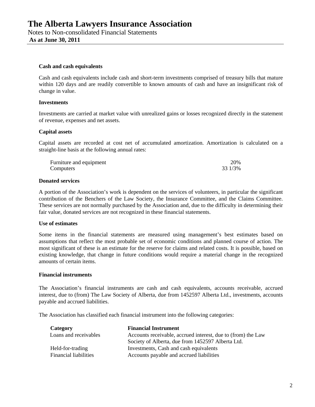### **Cash and cash equivalents**

Cash and cash equivalents include cash and short-term investments comprised of treasury bills that mature within 120 days and are readily convertible to known amounts of cash and have an insignificant risk of change in value.

### **Investments**

Investments are carried at market value with unrealized gains or losses recognized directly in the statement of revenue, expenses and net assets.

### **Capital assets**

Capital assets are recorded at cost net of accumulated amortization. Amortization is calculated on a straight-line basis at the following annual rates:

| Furniture and equipment | 20%     |
|-------------------------|---------|
| Computers               | 33 1/3% |

### **Donated services**

A portion of the Association's work is dependent on the services of volunteers, in particular the significant contribution of the Benchers of the Law Society, the Insurance Committee, and the Claims Committee. These services are not normally purchased by the Association and, due to the difficulty in determining their fair value, donated services are not recognized in these financial statements.

## **Use of estimates**

Some items in the financial statements are measured using management's best estimates based on assumptions that reflect the most probable set of economic conditions and planned course of action. The most significant of these is an estimate for the reserve for claims and related costs. It is possible, based on existing knowledge, that change in future conditions would require a material change in the recognized amounts of certain items.

#### **Financial instruments**

The Association's financial instruments are cash and cash equivalents, accounts receivable, accrued interest, due to (from) The Law Society of Alberta, due from 1452597 Alberta Ltd., investments, accounts payable and accrued liabilities.

The Association has classified each financial instrument into the following categories:

| Category              | <b>Financial Instrument</b>                                  |
|-----------------------|--------------------------------------------------------------|
| Loans and receivables | Accounts receivable, accrued interest, due to (from) the Law |
|                       | Society of Alberta, due from 1452597 Alberta Ltd.            |
| Held-for-trading      | Investments, Cash and cash equivalents                       |
| Financial liabilities | Accounts payable and accrued liabilities                     |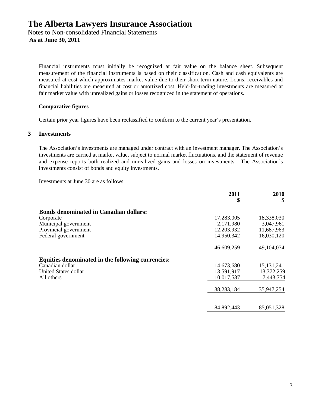Financial instruments must initially be recognized at fair value on the balance sheet. Subsequent measurement of the financial instruments is based on their classification. Cash and cash equivalents are measured at cost which approximates market value due to their short term nature. Loans, receivables and financial liabilities are measured at cost or amortized cost. Held-for-trading investments are measured at fair market value with unrealized gains or losses recognized in the statement of operations.

## **Comparative figures**

Certain prior year figures have been reclassified to conform to the current year's presentation.

## **3 Investments**

The Association's investments are managed under contract with an investment manager. The Association's investments are carried at market value, subject to normal market fluctuations, and the statement of revenue and expense reports both realized and unrealized gains and losses on investments. The Association's investments consist of bonds and equity investments.

Investments at June 30 are as follows:

|                                                   | 2011<br>\$ | 2010<br>\$   |
|---------------------------------------------------|------------|--------------|
| <b>Bonds denominated in Canadian dollars:</b>     |            |              |
| Corporate                                         | 17,283,005 | 18,338,030   |
| Municipal government                              | 2,171,980  | 3,047,961    |
| Provincial government                             | 12,203,932 | 11,687,963   |
| Federal government                                | 14,950,342 | 16,030,120   |
|                                                   | 46,609,259 | 49,104,074   |
| Equities denominated in the following currencies: |            |              |
| Canadian dollar                                   | 14,673,680 | 15, 131, 241 |
| United States dollar                              | 13,591,917 | 13,372,259   |
| All others                                        | 10,017,587 | 7,443,754    |
|                                                   | 38,283,184 | 35,947,254   |
|                                                   | 84,892,443 | 85,051,328   |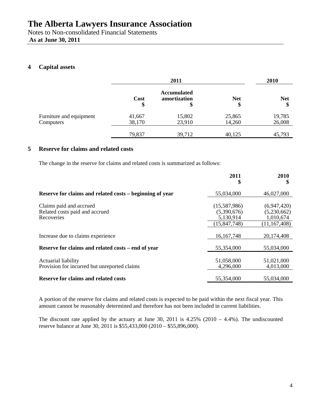Notes to Non-consolidated Financial Statements  **As at June 30, 2011** 

# **4 Capital assets**

|                                      | 2011             |                                          |                  | 2010             |
|--------------------------------------|------------------|------------------------------------------|------------------|------------------|
|                                      | Cost<br>\$       | <b>Accumulated</b><br>amortization<br>\$ | <b>Net</b><br>\$ | <b>Net</b><br>\$ |
| Furniture and equipment<br>Computers | 41,667<br>38,170 | 15,802<br>23,910                         | 25,865<br>14,260 | 19,785<br>26,008 |
|                                      | 79,837           | 39,712                                   | 40,125           | 45,793           |

# **5 Reserve for claims and related costs**

The change in the reserve for claims and related costs is summarized as follows:

|                                                                         | 2011<br>\$                                                 | 2010<br>\$                                                |
|-------------------------------------------------------------------------|------------------------------------------------------------|-----------------------------------------------------------|
| Reserve for claims and related costs – beginning of year                | 55,034,000                                                 | 46,027,000                                                |
| Claims paid and accrued<br>Related costs paid and accrued<br>Recoveries | (15,587,986)<br>(5,390,676)<br>5,130,914<br>(15, 847, 748) | (6,947,420)<br>(5,230,662)<br>1,010,674<br>(11, 167, 408) |
| Increase due to claims experience                                       | 16, 167, 748                                               | 20,174,408                                                |
| Reserve for claims and related costs – end of year                      | 55,354,000                                                 | 55,034,000                                                |
| Actuarial liability<br>Provision for incurred but unreported claims     | 51,058,000<br>4,296,000                                    | 51,021,000<br>4,013,000                                   |
| <b>Reserve for claims and related costs</b>                             | 55,354,000                                                 | 55,034,000                                                |

A portion of the reserve for claims and related costs is expected to be paid within the next fiscal year. This amount cannot be reasonably determined and therefore has not been included in current liabilities.

The discount rate applied by the actuary at June 30, 2011 is  $4.25\%$  (2010 –  $4.4\%$ ). The undiscounted reserve balance at June 30, 2011 is \$55,433,000 (2010 – \$55,896,000).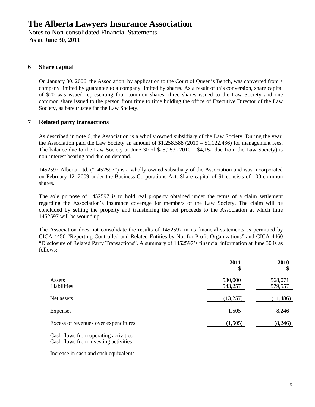# **6 Share capital**

On January 30, 2006, the Association, by application to the Court of Queen's Bench, was converted from a company limited by guarantee to a company limited by shares. As a result of this conversion, share capital of \$20 was issued representing four common shares; three shares issued to the Law Society and one common share issued to the person from time to time holding the office of Executive Director of the Law Society, as bare trustee for the Law Society.

# **7 Related party transactions**

As described in note 6, the Association is a wholly owned subsidiary of the Law Society. During the year, the Association paid the Law Society an amount of \$1,258,588 (2010 – \$1,122,436) for management fees. The balance due to the Law Society at June 30 of \$25,253 (2010 – \$4,152 due from the Law Society) is non-interest bearing and due on demand.

1452597 Alberta Ltd. ("1452597") is a wholly owned subsidiary of the Association and was incorporated on February 12, 2009 under the Business Corporations Act. Share capital of \$1 consists of 100 common shares.

The sole purpose of 1452597 is to hold real property obtained under the terms of a claim settlement regarding the Association's insurance coverage for members of the Law Society. The claim will be concluded by selling the property and transferring the net proceeds to the Association at which time 1452597 will be wound up.

The Association does not consolidate the results of 1452597 in its financial statements as permitted by CICA 4450 "Reporting Controlled and Related Entities by Not-for-Profit Organizations" and CICA 4460 "Disclosure of Related Party Transactions". A summary of 1452597's financial information at June 30 is as follows:

|                                                                              | 2011<br>\$         | 2010<br>\$         |
|------------------------------------------------------------------------------|--------------------|--------------------|
| Assets<br>Liabilities                                                        | 530,000<br>543,257 | 568,071<br>579,557 |
| Net assets                                                                   | (13,257)           | (11, 486)          |
| Expenses                                                                     | 1,505              | 8,246              |
| Excess of revenues over expenditures                                         | (1,505)            | (8,246)            |
| Cash flows from operating activities<br>Cash flows from investing activities |                    |                    |
| Increase in cash and cash equivalents                                        |                    |                    |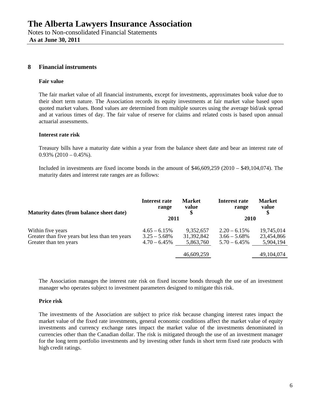## **8 Financial instruments**

### **Fair value**

The fair market value of all financial instruments, except for investments, approximates book value due to their short term nature. The Association records its equity investments at fair market value based upon quoted market values. Bond values are determined from multiple sources using the average bid/ask spread and at various times of day. The fair value of reserve for claims and related costs is based upon annual actuarial assessments.

### **Interest rate risk**

Treasury bills have a maturity date within a year from the balance sheet date and bear an interest rate of  $0.93\%$  (2010 – 0.45%).

Included in investments are fixed income bonds in the amount of \$46,609,259 (2010 – \$49,104,074). The maturity dates and interest rate ranges are as follows:

| Maturity dates (from balance sheet date)        | Interest rate<br>range | <b>Market</b><br>value<br>\$ | Interest rate<br>range | <b>Market</b><br>value<br>\$ |
|-------------------------------------------------|------------------------|------------------------------|------------------------|------------------------------|
|                                                 | 2011                   |                              | <b>2010</b>            |                              |
| Within five years                               | $4.65 - 6.15\%$        | 9,352,657                    | $2.20 - 6.15\%$        | 19,745,014                   |
| Greater than five years but less than ten years | $3.25 - 5.68\%$        | 31,392,842                   | $3.66 - 5.68\%$        | 23,454,866                   |
| Greater than ten years                          | $4.70 - 6.45\%$        | 5,863,760                    | $5.70 - 6.45\%$        | 5,904,194                    |
|                                                 |                        | 46,609,259                   |                        | 49,104,074                   |

The Association manages the interest rate risk on fixed income bonds through the use of an investment manager who operates subject to investment parameters designed to mitigate this risk.

## **Price risk**

The investments of the Association are subject to price risk because changing interest rates impact the market value of the fixed rate investments, general economic conditions affect the market value of equity investments and currency exchange rates impact the market value of the investments denominated in currencies other than the Canadian dollar. The risk is mitigated through the use of an investment manager for the long term portfolio investments and by investing other funds in short term fixed rate products with high credit ratings.